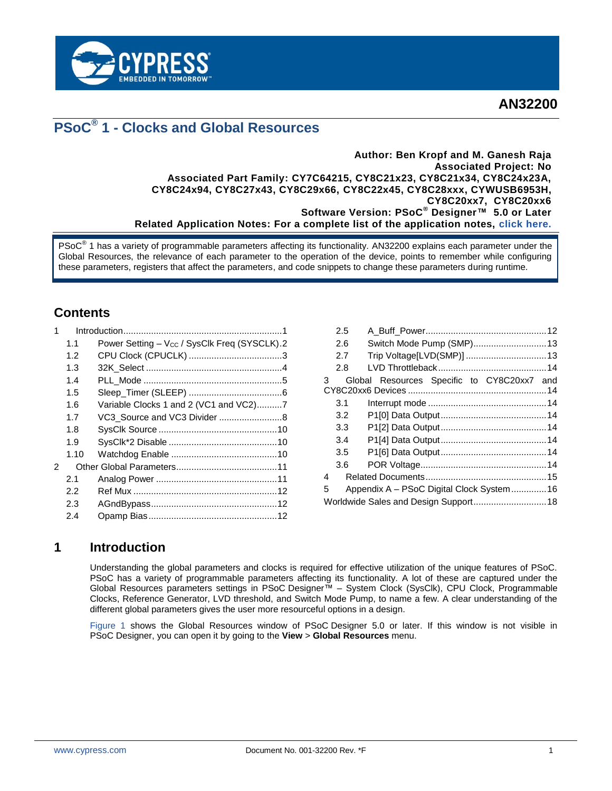

**AN32200**

# **PSoC® 1 - Clocks and Global Resources**

#### **Author: Ben Kropf and M. Ganesh Raja Associated Project: No Associated Part Family: CY7C64215, CY8C21x23, CY8C21x34, CY8C24x23A, CY8C24x94, CY8C27x43, CY8C29x66, CY8C22x45, CY8C28xxx, CYWUSB6953H, CY8C20xx7, CY8C20xx6 Software Version: PSoC® Designer™ 5.0 or Later Related Application Notes: For a complete list of the application notes, [click here.](#page-14-0)**

PSoC<sup>®</sup> 1 has a variety of programmable parameters affecting its functionality. AN32200 explains each parameter under the Global Resources, the relevance of each parameter to the operation of the device, points to remember while configuring these parameters, registers that affect the parameters, and code snippets to change these parameters during runtime.

# **Contents**

|               | 1.1  | Power Setting – V <sub>CC</sub> / SysClk Freq (SYSCLK).2 |  |
|---------------|------|----------------------------------------------------------|--|
|               | 1.2  |                                                          |  |
|               | 1.3  |                                                          |  |
|               | 1.4  |                                                          |  |
|               | 1.5  |                                                          |  |
|               | 1.6  | Variable Clocks 1 and 2 (VC1 and VC2)7                   |  |
|               | 1.7  |                                                          |  |
|               | 1.8  |                                                          |  |
|               | 1.9  |                                                          |  |
|               | 1.10 |                                                          |  |
| $\mathcal{P}$ |      |                                                          |  |
|               | 2.1  |                                                          |  |
|               | 2.2  |                                                          |  |
|               | 2.3  |                                                          |  |
|               | 2.4  |                                                          |  |

|   | 2.5                                   |                                            |  |  |  |
|---|---------------------------------------|--------------------------------------------|--|--|--|
|   | 2.6                                   | Switch Mode Pump (SMP) 13                  |  |  |  |
|   | 2.7                                   |                                            |  |  |  |
|   | 2.8                                   |                                            |  |  |  |
| 3 |                                       | Global Resources Specific to CY8C20xx7 and |  |  |  |
|   |                                       |                                            |  |  |  |
|   | 3.1                                   |                                            |  |  |  |
|   | 3.2                                   |                                            |  |  |  |
|   | 3.3                                   |                                            |  |  |  |
|   | 3.4                                   |                                            |  |  |  |
|   | 3.5                                   |                                            |  |  |  |
|   | 3.6                                   |                                            |  |  |  |
| 4 |                                       |                                            |  |  |  |
| 5 |                                       | Appendix A - PSoC Digital Clock System16   |  |  |  |
|   | Worldwide Sales and Design Support 18 |                                            |  |  |  |
|   |                                       |                                            |  |  |  |

# <span id="page-0-0"></span>**1 Introduction**

Understanding the global parameters and clocks is required for effective utilization of the unique features of PSoC. PSoC has a variety of programmable parameters affecting its functionality. A lot of these are captured under the Global Resources parameters settings in PSoC Designer™ – System Clock (SysClk), CPU Clock, Programmable Clocks, Reference Generator, LVD threshold, and Switch Mode Pump, to name a few. A clear understanding of the different global parameters gives the user more resourceful options in a design.

[Figure 1](#page-1-1) shows the Global Resources window of PSoC Designer 5.0 or later. If this window is not visible in PSoC Designer, you can open it by going to the **View** > **Global Resources** menu.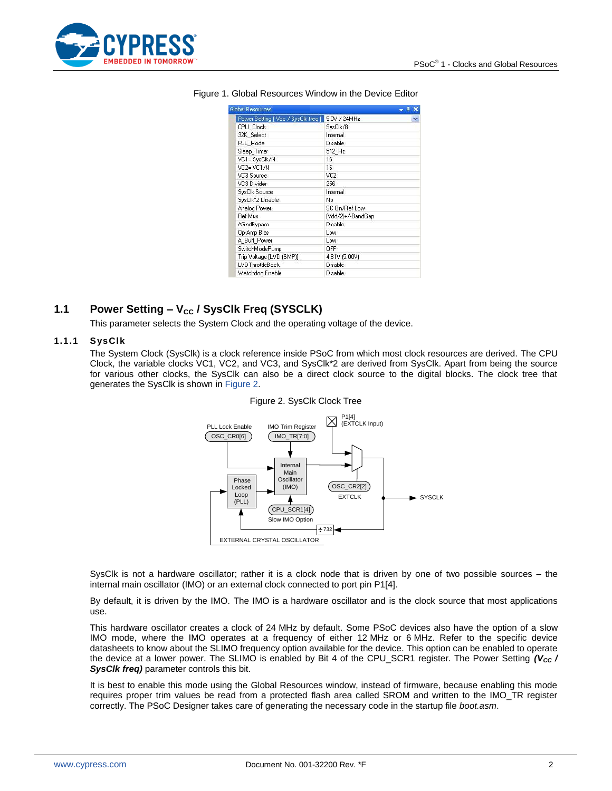<span id="page-1-1"></span>

| Global Resources                   |                   |  |
|------------------------------------|-------------------|--|
| Power Setting [Vcc / SysClk freq ] | 5.0V / 24MHz      |  |
| CPU_Clock                          | SysClk/8          |  |
| 32K Select                         | Internal          |  |
| PLL Mode                           | <b>Disable</b>    |  |
| Sleep_Timer                        | 512 Hz            |  |
| VC1= SysClk/N                      | 16                |  |
| VC2= VC1/N                         | 16                |  |
| VC3 Source                         | VC <sub>2</sub>   |  |
| VC3 Divider                        | 256               |  |
| SysClk Source                      | Internal          |  |
| SysClk*2 Disable                   | No                |  |
| Analog Power                       | SC On/Ref Low     |  |
| <b>Ref Mux</b>                     | (Vdd/2)+/-BandGap |  |
| <b>AGndBypass</b>                  | <b>Disable</b>    |  |
| Op-Amp Bias                        | Low               |  |
| A Buff Power                       | Low               |  |
| SwitchModePump                     | OFF               |  |
| Trip Voltage [LVD (SMP]]           | 4.81V (5.00V)     |  |
| LVDThrottleBack                    | <b>Disable</b>    |  |
| Watchdog Enable                    | Disable           |  |

#### Figure 1. Global Resources Window in the Device Editor

## <span id="page-1-0"></span>1.1 **Power Setting – V<sub>cc</sub> / SysClk Freq (SYSCLK)**

This parameter selects the System Clock and the operating voltage of the device.

#### <span id="page-1-2"></span>**1.1.1 SysClk**

The System Clock (SysClk) is a clock reference inside PSoC from which most clock resources are derived. The CPU Clock, the variable clocks VC1, VC2, and VC3, and SysClk\*2 are derived from SysClk. Apart from being the source for various other clocks, the SysClk can also be a direct clock source to the digital blocks. The clock tree that generates the SysClk is shown in [Figure 2.](#page-1-2)



#### Figure 2. SysClk Clock Tree

SysClk is not a hardware oscillator; rather it is a clock node that is driven by one of two possible sources – the internal main oscillator (IMO) or an external clock connected to port pin P1[4].

By default, it is driven by the IMO. The IMO is a hardware oscillator and is the clock source that most applications use.

This hardware oscillator creates a clock of 24 MHz by default. Some PSoC devices also have the option of a slow IMO mode, where the IMO operates at a frequency of either 12 MHz or 6 MHz. Refer to the specific device datasheets to know about the SLIMO frequency option available for the device. This option can be enabled to operate the device at a lower power. The SLIMO is enabled by Bit 4 of the CPU\_SCR1 register. The Power Setting *(V<sub>cc</sub>) SysClk freq)* parameter controls this bit.

It is best to enable this mode using the Global Resources window, instead of firmware, because enabling this mode requires proper trim values be read from a protected flash area called SROM and written to the IMO\_TR register correctly. The PSoC Designer takes care of generating the necessary code in the startup file *boot.asm*.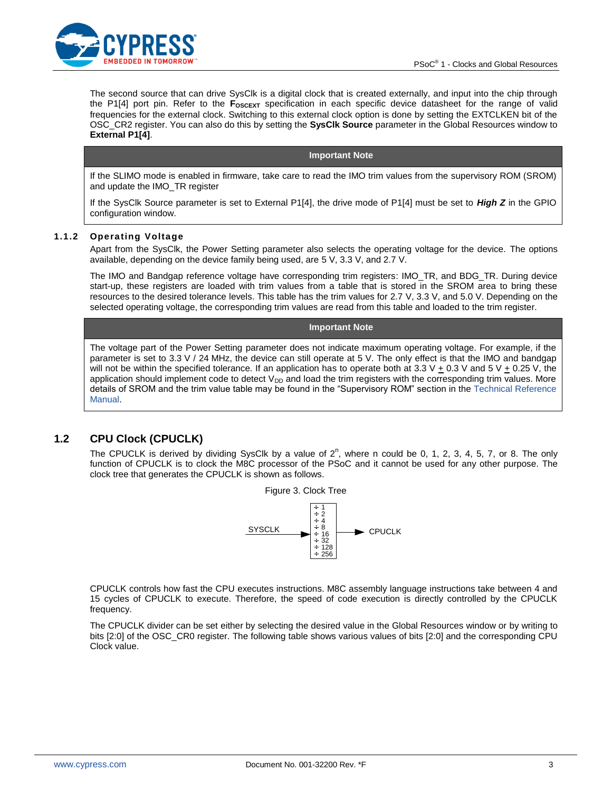

The second source that can drive SysClk is a digital clock that is created externally, and input into the chip through the P1[4] port pin. Refer to the **FOSCEXT** specification in each specific device datasheet for the range of valid frequencies for the external clock. Switching to this external clock option is done by setting the EXTCLKEN bit of the OSC\_CR2 register. You can also do this by setting the **SysClk Source** parameter in the Global Resources window to **External P1[4]**.

#### **Important Note**

If the SLIMO mode is enabled in firmware, take care to read the IMO trim values from the supervisory ROM (SROM) and update the IMO\_TR register

If the SysClk Source parameter is set to External P1[4], the drive mode of P1[4] must be set to *High Z* in the GPIO configuration window.

#### **1.1.2 Operating Voltage**

Apart from the SysClk, the Power Setting parameter also selects the operating voltage for the device. The options available, depending on the device family being used, are 5 V, 3.3 V, and 2.7 V.

The IMO and Bandgap reference voltage have corresponding trim registers: IMO\_TR, and BDG\_TR. During device start-up, these registers are loaded with trim values from a table that is stored in the SROM area to bring these resources to the desired tolerance levels. This table has the trim values for 2.7 V, 3.3 V, and 5.0 V. Depending on the selected operating voltage, the corresponding trim values are read from this table and loaded to the trim register.

#### **Important Note**

The voltage part of the Power Setting parameter does not indicate maximum operating voltage. For example, if the parameter is set to 3.3 V / 24 MHz, the device can still operate at 5 V. The only effect is that the IMO and bandgap will not be within the specified tolerance. If an application has to operate both at 3.3 V  $\pm$  0.3 V and 5 V  $\pm$  0.25 V, the application should implement code to detect  $V_{DD}$  and load the trim registers with the corresponding trim values. More details of SROM and the trim value table may be found in the "Supervisory ROM" section in the [Technical Reference](http://www.cypress.com/?rID=34621)  [Manual.](http://www.cypress.com/?rID=34621)

### <span id="page-2-0"></span>**1.2 CPU Clock (CPUCLK)**

The CPUCLK is derived by dividing SysClk by a value of  $2^n$ , where n could be 0, 1, 2, 3, 4, 5, 7, or 8. The only function of CPUCLK is to clock the M8C processor of the PSoC and it cannot be used for any other purpose. The clock tree that generates the CPUCLK is shown as follows.



CPUCLK controls how fast the CPU executes instructions. M8C assembly language instructions take between 4 and 15 cycles of CPUCLK to execute. Therefore, the speed of code execution is directly controlled by the CPUCLK frequency.

The CPUCLK divider can be set either by selecting the desired value in the Global Resources window or by writing to bits [2:0] of the OSC\_CR0 register. The following table shows various values of bits [2:0] and the corresponding CPU Clock value.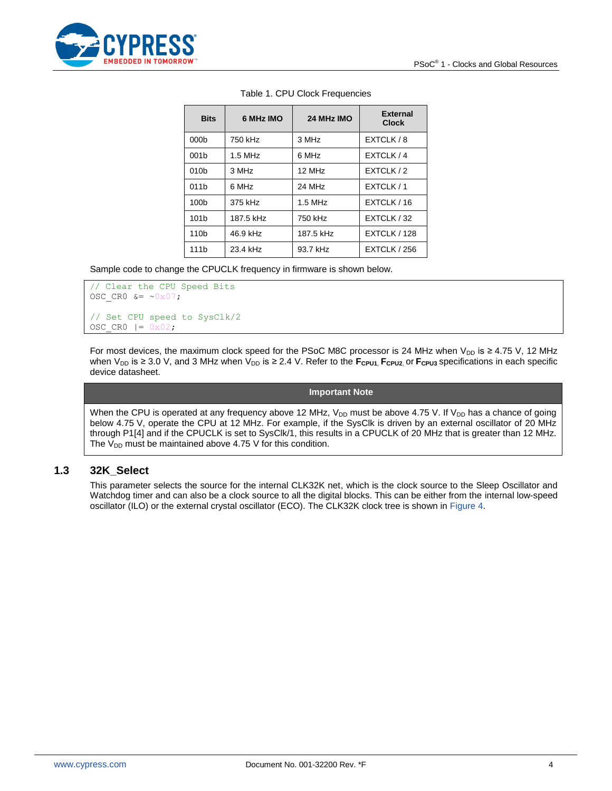

| <b>Bits</b>      | 6 MHz IMO | 24 MHz IMO         | <b>External</b><br><b>Clock</b> |
|------------------|-----------|--------------------|---------------------------------|
| 000 <sub>b</sub> | 750 kHz   | 3 MHz              | EXTCLK / 8                      |
| 001 <sub>b</sub> | $1.5$ MHz | 6 MHz              | EXTCLK / 4                      |
| 010 <sub>b</sub> | 3 MHz     | 12 MHz             | EXTCLK / 2                      |
| 011 <sub>b</sub> | 6 MHz     | 24 MH <sub>7</sub> | EXTCLK / 1                      |
| 100b             | 375 kHz   | $1.5$ MHz          | EXTCLK / 16                     |
| 101 <sub>b</sub> | 187.5 kHz | 750 kHz            | EXTCLK / 32                     |
| 110 <sub>b</sub> | 46.9 kHz  | 187.5 kHz          | EXTCLK / 128                    |
| 111 <sub>b</sub> | 23.4 kHz  | 93.7 kHz           | <b>EXTCLK / 256</b>             |

#### Table 1. CPU Clock Frequencies

Sample code to change the CPUCLK frequency in firmware is shown below.

```
// Clear the CPU Speed Bits
OSC CR0 &= \sim 0 \times 0.7;
// Set CPU speed to SysClk/2
OSC CR0 |= 0x02;
```
For most devices, the maximum clock speed for the PSoC M8C processor is 24 MHz when V<sub>DD</sub> is ≥ 4.75 V, 12 MHz when V<sub>DD</sub> is ≥ 3.0 V, and 3 MHz when V<sub>DD</sub> is ≥ 2.4 V. Refer to the  $F_{CPU1}$ ,  $F_{CPU2}$  or  $F_{CPU3}$  specifications in each specific device datasheet.

**Important Note**

When the CPU is operated at any frequency above 12 MHz,  $V_{DD}$  must be above 4.75 V. If  $V_{DD}$  has a chance of going below 4.75 V, operate the CPU at 12 MHz. For example, if the SysClk is driven by an external oscillator of 20 MHz through P1[4] and if the CPUCLK is set to SysClk/1, this results in a CPUCLK of 20 MHz that is greater than 12 MHz. The  $V_{DD}$  must be maintained above 4.75 V for this condition.

#### <span id="page-3-0"></span>**1.3 32K\_Select**

This parameter selects the source for the internal CLK32K net, which is the clock source to the Sleep Oscillator and Watchdog timer and can also be a clock source to all the digital blocks. This can be either from the internal low-speed oscillator (ILO) or the external crystal oscillator (ECO). The CLK32K clock tree is shown in [Figure 4.](#page-4-1)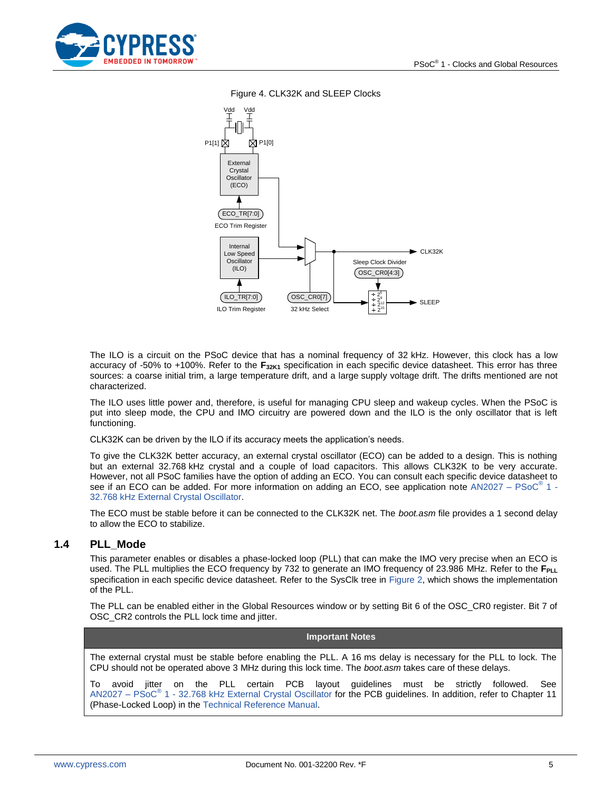<span id="page-4-1"></span>



Figure 4. CLK32K and SLEEP Clocks

The ILO is a circuit on the PSoC device that has a nominal frequency of 32 kHz. However, this clock has a low accuracy of -50% to +100%. Refer to the **F32K1** specification in each specific device datasheet. This error has three sources: a coarse initial trim, a large temperature drift, and a large supply voltage drift. The drifts mentioned are not characterized.

The ILO uses little power and, therefore, is useful for managing CPU sleep and wakeup cycles. When the PSoC is put into sleep mode, the CPU and IMO circuitry are powered down and the ILO is the only oscillator that is left functioning.

CLK32K can be driven by the ILO if its accuracy meets the application's needs.

To give the CLK32K better accuracy, an external crystal oscillator (ECO) can be added to a design. This is nothing but an external 32.768 kHz crystal and a couple of load capacitors. This allows CLK32K to be very accurate. However, not all PSoC families have the option of adding an ECO. You can consult each specific device datasheet to see if an ECO can be added. For more information on adding an ECO, see application note AN2027 - PSoC<sup>®</sup> 1 -[32.768 kHz External Crystal Oscillator.](http://www.cypress.com/?rID=2844)

The ECO must be stable before it can be connected to the CLK32K net. The *boot.asm* file provides a 1 second delay to allow the ECO to stabilize.

#### <span id="page-4-0"></span>**1.4 PLL\_Mode**

This parameter enables or disables a phase-locked loop (PLL) that can make the IMO very precise when an ECO is used. The PLL multiplies the ECO frequency by 732 to generate an IMO frequency of 23.986 MHz. Refer to the F<sub>PLL</sub> specification in each specific device datasheet. Refer to the SysClk tree in [Figure 2,](#page-1-2) which shows the implementation of the PLL.

The PLL can be enabled either in the Global Resources window or by setting Bit 6 of the OSC\_CR0 register. Bit 7 of OSC\_CR2 controls the PLL lock time and jitter.

#### **Important Notes**

The external crystal must be stable before enabling the PLL. A 16 ms delay is necessary for the PLL to lock. The CPU should not be operated above 3 MHz during this lock time. The *boot.asm* takes care of these delays.

To avoid jitter on the PLL certain PCB layout guidelines must be strictly followed. See AN2027 – PSoC<sup>®</sup> 1 - [32.768 kHz External Crystal Oscillator](http://www.cypress.com/?rID=2844) for the PCB guidelines. In addition, refer to Chapter 11 (Phase-Locked Loop) in the [Technical Reference Manual.](http://www.cypress.com/?rID=34621)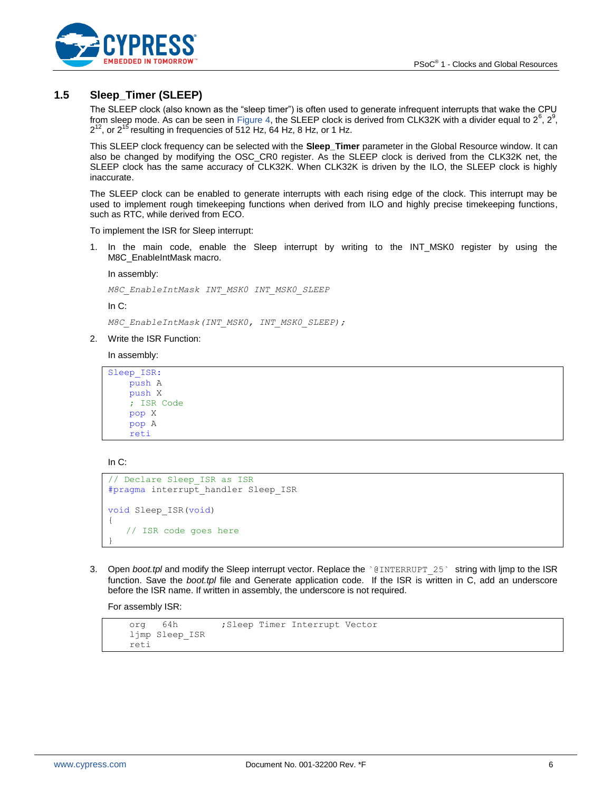

## <span id="page-5-0"></span>**1.5 Sleep\_Timer (SLEEP)**

The SLEEP clock (also known as the "sleep timer") is often used to generate infrequent interrupts that wake the CPU from sleep mode. As can be seen in [Figure 4,](#page-4-1) the SLEEP clock is derived from CLK32K with a divider equal to 2<sup>6</sup>, 2<sup>9</sup>,  $2^{12}$ , or  $2^{15}$  resulting in frequencies of 512 Hz, 64 Hz, 8 Hz, or 1 Hz.

This SLEEP clock frequency can be selected with the **Sleep\_Timer** parameter in the Global Resource window. It can also be changed by modifying the OSC\_CR0 register. As the SLEEP clock is derived from the CLK32K net, the SLEEP clock has the same accuracy of CLK32K. When CLK32K is driven by the ILO, the SLEEP clock is highly inaccurate.

The SLEEP clock can be enabled to generate interrupts with each rising edge of the clock. This interrupt may be used to implement rough timekeeping functions when derived from ILO and highly precise timekeeping functions, such as RTC, while derived from ECO.

To implement the ISR for Sleep interrupt:

1. In the main code, enable the Sleep interrupt by writing to the INT\_MSK0 register by using the M8C\_EnableIntMask macro.

In assembly:

*M8C\_EnableIntMask INT\_MSK0 INT\_MSK0\_SLEEP*

In C:

*M8C\_EnableIntMask(INT\_MSK0, INT\_MSK0\_SLEEP);*

2. Write the ISR Function:

In assembly:

```
Sleep_ISR:
     push A
     push X
     ; ISR Code
     pop X
     pop A
     reti
```
In C:

```
// Declare Sleep_ISR as ISR
#pragma interrupt handler Sleep ISR
void Sleep_ISR(void)
{
   // ISR code goes here
}
```
3. Open *boot.tpl* and modify the Sleep interrupt vector. Replace the `@INTERRUPT 25` string with ljmp to the ISR function. Save the *boot.tpl* file and Generate application code. If the ISR is written in C, add an underscore before the ISR name. If written in assembly, the underscore is not required.

For assembly ISR:

```
org 64h ;Sleep Timer Interrupt Vector
 ljmp Sleep_ISR
 reti
```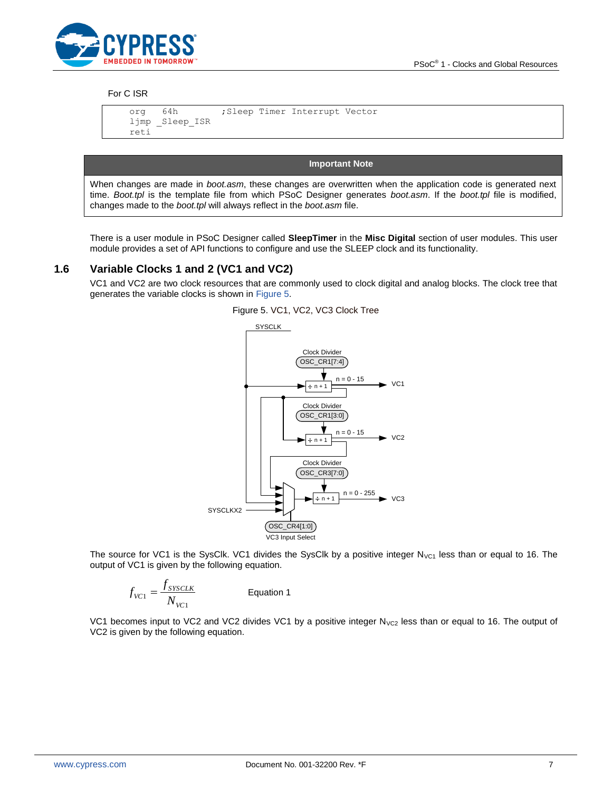

#### For C ISR

 org 64h ;Sleep Timer Interrupt Vector ljmp \_Sleep\_ISR reti

**Important Note**

When changes are made in *boot.asm*, these changes are overwritten when the application code is generated next time. *Boot.tpl* is the template file from which PSoC Designer generates *boot.asm*. If the *boot.tpl* file is modified, changes made to the *boot.tpl* will always reflect in the *boot.asm* file.

There is a user module in PSoC Designer called **SleepTimer** in the **Misc Digital** section of user modules. This user module provides a set of API functions to configure and use the SLEEP clock and its functionality.

#### <span id="page-6-1"></span><span id="page-6-0"></span>**1.6 Variable Clocks 1 and 2 (VC1 and VC2)**

VC1 and VC2 are two clock resources that are commonly used to clock digital and analog blocks. The clock tree that generates the variable clocks is shown in [Figure 5.](#page-6-1)



The source for VC1 is the SysClk. VC1 divides the SysClk by a positive integer  $N_{\text{VC1}}$  less than or equal to 16. The output of VC1 is given by the following equation.

$$
f_{VCl} = \frac{f_{SSCLK}}{N_{VCl}}
$$
 Equation 1

VC1 becomes input to VC2 and VC2 divides VC1 by a positive integer  $N_{VC2}$  less than or equal to 16. The output of VC2 is given by the following equation.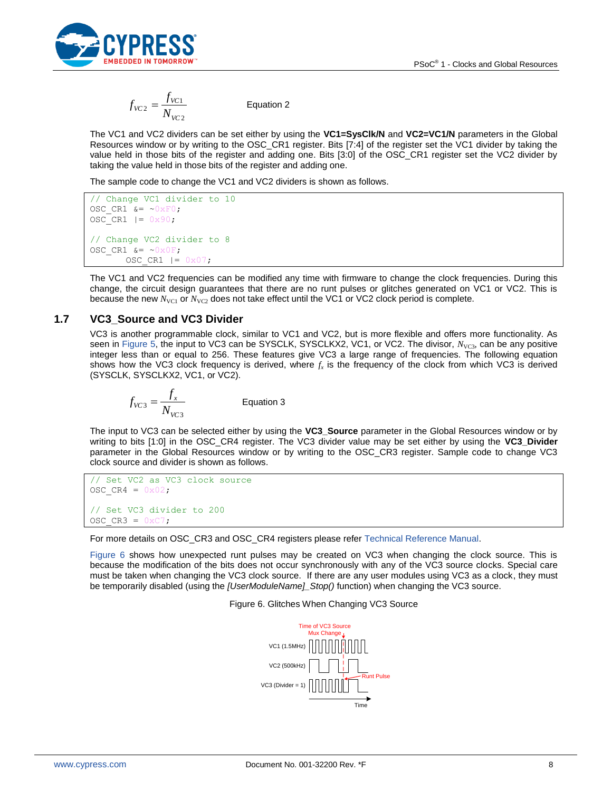

$$
f_{VC2} = \frac{f_{VC1}}{N_{VC2}}
$$
 Equation 2

The VC1 and VC2 dividers can be set either by using the **VC1=SysClk/N** and **VC2=VC1/N** parameters in the Global Resources window or by writing to the OSC\_CR1 register. Bits [7:4] of the register set the VC1 divider by taking the value held in those bits of the register and adding one. Bits [3:0] of the OSC\_CR1 register set the VC2 divider by taking the value held in those bits of the register and adding one.

The sample code to change the VC1 and VC2 dividers is shown as follows.

```
// Change VC1 divider to 10
OSC CR1 \&= ~0xF0;
OSCCR1 |= 0x90;
// Change VC2 divider to 8
OSC CR1 &= ~0x0F;
      OSC CR1 |= 0x07;
```
The VC1 and VC2 frequencies can be modified any time with firmware to change the clock frequencies. During this change, the circuit design guarantees that there are no runt pulses or glitches generated on VC1 or VC2. This is because the new  $N_{\text{VC1}}$  or  $N_{\text{VC2}}$  does not take effect until the VC1 or VC2 clock period is complete.

## <span id="page-7-0"></span>**1.7 VC3\_Source and VC3 Divider**

VC3 is another programmable clock, similar to VC1 and VC2, but is more flexible and offers more functionality. As seen in [Figure 5,](#page-6-1) the input to VC3 can be SYSCLK, SYSCLKX2, VC1, or VC2. The divisor, *N<sub>VC3</sub>*, can be any positive integer less than or equal to 256. These features give VC3 a large range of frequencies. The following equation shows how the VC3 clock frequency is derived, where *f<sup>x</sup>* is the frequency of the clock from which VC3 is derived (SYSCLK, SYSCLKX2, VC1, or VC2).

$$
f_{VCS} = \frac{f_x}{N_{VCS}}
$$
 Equation 3

The input to VC3 can be selected either by using the **VC3\_Source** parameter in the Global Resources window or by writing to bits [1:0] in the OSC\_CR4 register. The VC3 divider value may be set either by using the **VC3\_Divider** parameter in the Global Resources window or by writing to the OSC\_CR3 register. Sample code to change VC3 clock source and divider is shown as follows.

```
// Set VC2 as VC3 clock source
OSC CR4 = 0x02;// Set VC3 divider to 200
OSC CR3 = 0xC7;
```
For more details on OSC\_CR3 and OSC\_CR4 registers please refe[r Technical Reference Manual.](http://www.cypress.com/?rID=34621)

<span id="page-7-1"></span>[Figure 6](#page-7-1) shows how unexpected runt pulses may be created on VC3 when changing the clock source. This is because the modification of the bits does not occur synchronously with any of the VC3 source clocks. Special care must be taken when changing the VC3 clock source. If there are any user modules using VC3 as a clock, they must be temporarily disabled (using the *[UserModuleName]\_Stop()* function) when changing the VC3 source.

Figure 6. Glitches When Changing VC3 Source

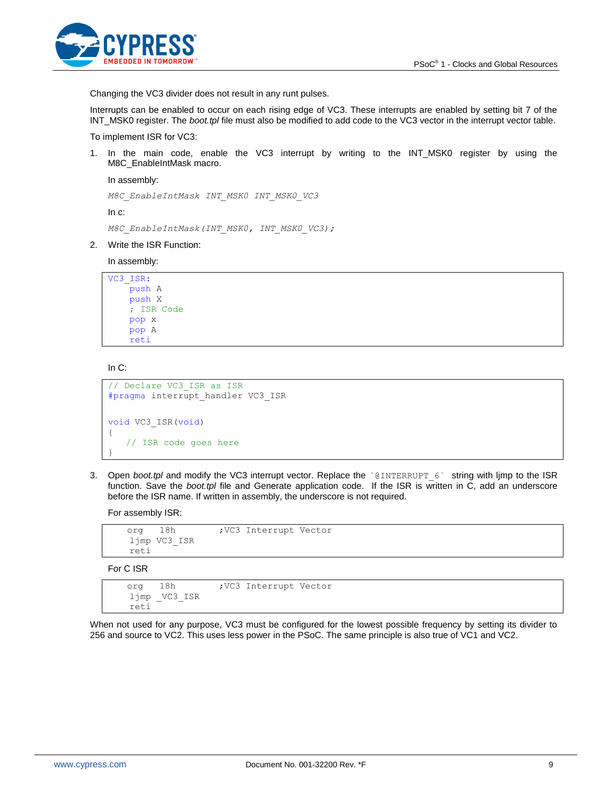

Changing the VC3 divider does not result in any runt pulses.

Interrupts can be enabled to occur on each rising edge of VC3. These interrupts are enabled by setting bit 7 of the INT\_MSK0 register. The *boot.tpl* file must also be modified to add code to the VC3 vector in the interrupt vector table.

To implement ISR for VC3:

1. In the main code, enable the VC3 interrupt by writing to the INT\_MSK0 register by using the M8C\_EnableIntMask macro.

In assembly:

```
M8C_EnableIntMask INT_MSK0 INT_MSK0_VC3
```
In c:

```
M8C_EnableIntMask(INT_MSK0, INT_MSK0_VC3);
```
2. Write the ISR Function:

In assembly:

```
VC3_ISR:
     push A
     push X
     ; ISR Code
     pop x
     pop A
     reti
```
In C:

```
// Declare VC3_ISR as ISR
#pragma interrupt_handler VC3_ISR
void VC3_ISR(void)
{
   // ISR code goes here
}
```
3. Open *boot.tpl* and modify the VC3 interrupt vector. Replace the `@INTERRUPT\_6` string with ljmp to the ISR function. Save the *boot.tpl* file and Generate application code. If the ISR is written in C, add an underscore before the ISR name. If written in assembly, the underscore is not required.

For assembly ISR:

```
org 18h ; VC3 Interrupt Vector
 ljmp VC3_ISR
 reti
```
For C ISR

```
org 18h ; VC3 Interrupt Vector
 ljmp _VC3_ISR
 reti
```
When not used for any purpose, VC3 must be configured for the lowest possible frequency by setting its divider to 256 and source to VC2. This uses less power in the PSoC. The same principle is also true of VC1 and VC2.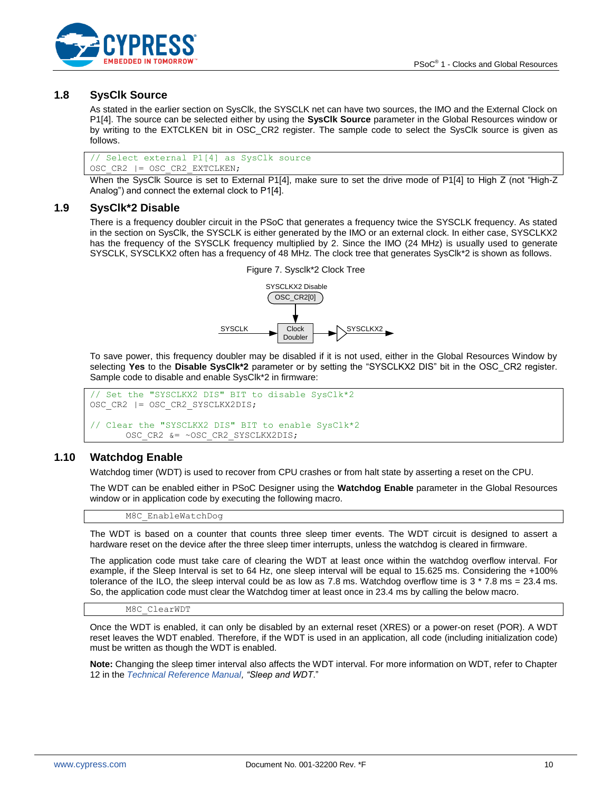

### <span id="page-9-0"></span>**1.8 SysClk Source**

As stated in the earlier section on SysClk, the SYSCLK net can have two sources, the IMO and the External Clock on P1[4]. The source can be selected either by using the **SysClk Source** parameter in the Global Resources window or by writing to the EXTCLKEN bit in OSC\_CR2 register. The sample code to select the SysClk source is given as follows.

// Select external P1[4] as SysClk source OSC\_CR2 |= OSC\_CR2\_EXTCLKEN;

When the SysClk Source is set to External P1[4], make sure to set the drive mode of P1[4] to High Z (not "High-Z Analog") and connect the external clock to P1[4].

#### <span id="page-9-1"></span>**1.9 SysClk\*2 Disable**

There is a frequency doubler circuit in the PSoC that generates a frequency twice the SYSCLK frequency. As stated in the section on SysClk, the SYSCLK is either generated by the IMO or an external clock. In either case, SYSCLKX2 has the frequency of the SYSCLK frequency multiplied by 2. Since the IMO (24 MHz) is usually used to generate SYSCLK, SYSCLKX2 often has a frequency of 48 MHz. The clock tree that generates SysClk\*2 is shown as follows.



To save power, this frequency doubler may be disabled if it is not used, either in the Global Resources Window by selecting **Yes** to the **Disable SysClk\*2** parameter or by setting the "SYSCLKX2 DIS" bit in the OSC\_CR2 register. Sample code to disable and enable SysClk\*2 in firmware:

```
// Set the "SYSCLKX2 DIS" BIT to disable SysClk*2
OSC_CR2 |= OSC_CR2_SYSCLKX2DIS;
// Clear the "SYSCLKX2 DIS" BIT to enable SysClk*2
      OSC_CR2 &= ~OSC_CR2_SYSCLKX2DIS;
```
#### <span id="page-9-2"></span>**1.10 Watchdog Enable**

Watchdog timer (WDT) is used to recover from CPU crashes or from halt state by asserting a reset on the CPU.

The WDT can be enabled either in PSoC Designer using the **Watchdog Enable** parameter in the Global Resources window or in application code by executing the following macro.

M8C\_EnableWatchDog

The WDT is based on a counter that counts three sleep timer events. The WDT circuit is designed to assert a hardware reset on the device after the three sleep timer interrupts, unless the watchdog is cleared in firmware.

The application code must take care of clearing the WDT at least once within the watchdog overflow interval. For example, if the Sleep Interval is set to 64 Hz, one sleep interval will be equal to 15.625 ms. Considering the +100% tolerance of the ILO, the sleep interval could be as low as 7.8 ms. Watchdog overflow time is  $3 * 7.8$  ms = 23.4 ms. So, the application code must clear the Watchdog timer at least once in 23.4 ms by calling the below macro.

M8C\_ClearWDT

Once the WDT is enabled, it can only be disabled by an external reset (XRES) or a power-on reset (POR). A WDT reset leaves the WDT enabled. Therefore, if the WDT is used in an application, all code (including initialization code) must be written as though the WDT is enabled.

**Note:** Changing the sleep timer interval also affects the WDT interval. For more information on WDT, refer to Chapter 12 in the *[Technical Reference Manual,](http://www.cypress.com/?rID=34621) "Sleep and WDT*."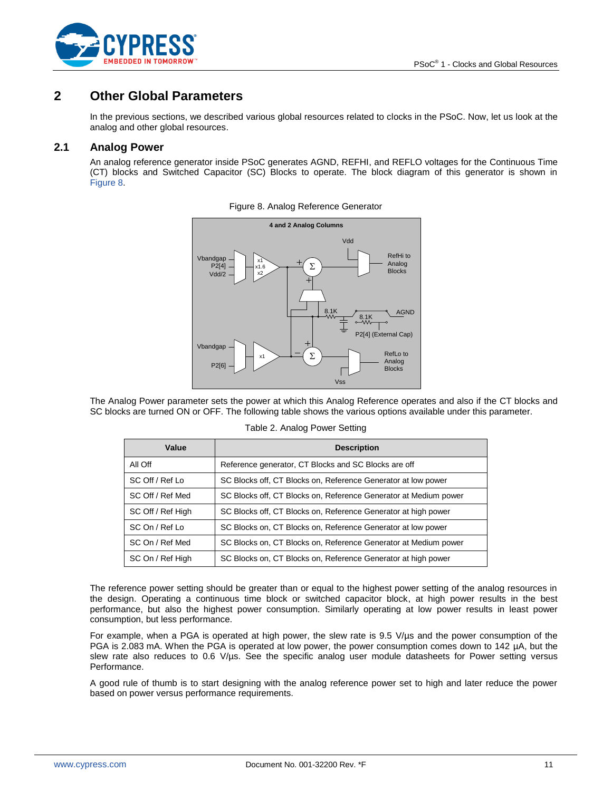

## <span id="page-10-0"></span>**2 Other Global Parameters**

In the previous sections, we described various global resources related to clocks in the PSoC. Now, let us look at the analog and other global resources.

## <span id="page-10-2"></span><span id="page-10-1"></span>**2.1 Analog Power**

An analog reference generator inside PSoC generates AGND, REFHI, and REFLO voltages for the Continuous Time (CT) blocks and Switched Capacitor (SC) Blocks to operate. The block diagram of this generator is shown in [Figure 8.](#page-10-2)



Figure 8. Analog Reference Generator

<span id="page-10-3"></span>The Analog Power parameter sets the power at which this Analog Reference operates and also if the CT blocks and SC blocks are turned ON or OFF. The following table shows the various options available under this parameter.

| Value             | <b>Description</b>                                               |
|-------------------|------------------------------------------------------------------|
| All Off           | Reference generator, CT Blocks and SC Blocks are off             |
| SC Off / Ref Lo   | SC Blocks off, CT Blocks on, Reference Generator at low power    |
| SC Off / Ref Med  | SC Blocks off, CT Blocks on, Reference Generator at Medium power |
| SC Off / Ref High | SC Blocks off, CT Blocks on, Reference Generator at high power   |
| SC On / Ref Lo    | SC Blocks on, CT Blocks on, Reference Generator at low power     |
| SC On / Ref Med   | SC Blocks on, CT Blocks on, Reference Generator at Medium power  |
| SC On / Ref High  | SC Blocks on, CT Blocks on, Reference Generator at high power    |

The reference power setting should be greater than or equal to the highest power setting of the analog resources in the design. Operating a continuous time block or switched capacitor block, at high power results in the best performance, but also the highest power consumption. Similarly operating at low power results in least power consumption, but less performance.

For example, when a PGA is operated at high power, the slew rate is 9.5 V/µs and the power consumption of the PGA is 2.083 mA. When the PGA is operated at low power, the power consumption comes down to 142 µA, but the slew rate also reduces to 0.6 V/µs. See the specific analog user module datasheets for Power setting versus Performance.

A good rule of thumb is to start designing with the analog reference power set to high and later reduce the power based on power versus performance requirements.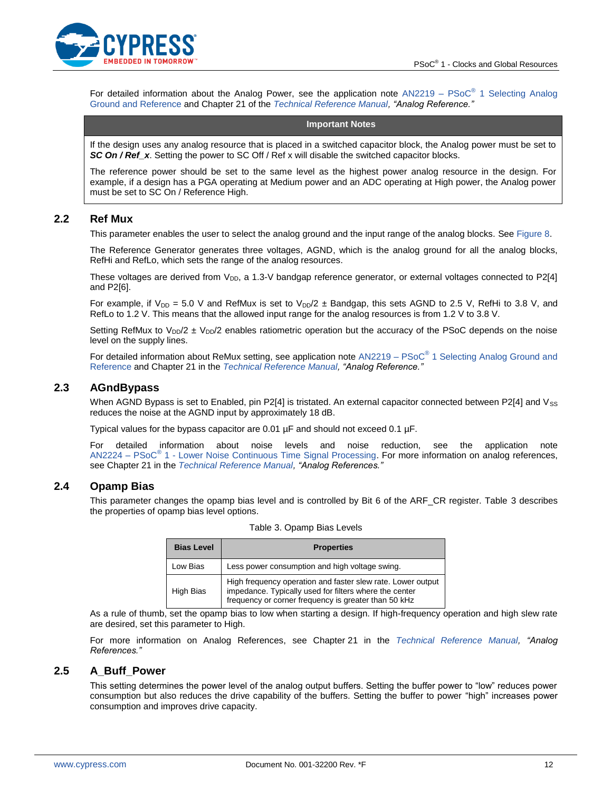

For detailed information about the Analog Power, see the application note  $AN2219 - PSoc<sup>®</sup> 1$  Selecting Analog [Ground and Reference](http://www.cypress.com/design/AN2219) and Chapter 21 of the *[Technical Reference Manual,](http://www.cypress.com/?rID=34621) "Analog Reference."*

#### **Important Notes**

If the design uses any analog resource that is placed in a switched capacitor block, the Analog power must be set to **SC On / Ref\_x**. Setting the power to SC Off / Ref x will disable the switched capacitor blocks.

The reference power should be set to the same level as the highest power analog resource in the design. For example, if a design has a PGA operating at Medium power and an ADC operating at High power, the Analog power must be set to SC On / Reference High.

#### <span id="page-11-0"></span>**2.2 Ref Mux**

This parameter enables the user to select the analog ground and the input range of the analog blocks. See [Figure 8.](#page-10-2)

The Reference Generator generates three voltages, AGND, which is the analog ground for all the analog blocks, RefHi and RefLo, which sets the range of the analog resources.

These voltages are derived from  $V_{DD}$ , a 1.3-V bandgap reference generator, or external voltages connected to P2[4] and P2[6].

For example, if  $V_{DD} = 5.0$  V and RefMux is set to  $V_{DD}/2 \pm$  Bandgap, this sets AGND to 2.5 V, RefHi to 3.8 V, and RefLo to 1.2 V. This means that the allowed input range for the analog resources is from 1.2 V to 3.8 V.

Setting RefMux to  $V_{DD}/2$  ±  $V_{DD}/2$  enables ratiometric operation but the accuracy of the PSoC depends on the noise level on the supply lines.

For detailed information about ReMux setting, see application note AN2219 – PSoC<sup>®</sup> 1 Selecting Analog Ground and [Reference](http://www.cypress.com/design/AN2219) and Chapter 21 in the *[Technical Reference Manual,](http://www.cypress.com/?rID=34621) "Analog Reference."*

#### <span id="page-11-1"></span>**2.3 AGndBypass**

When AGND Bypass is set to Enabled, pin P2[4] is tristated. An external capacitor connected between P2[4] and  $V_{SS}$ reduces the noise at the AGND input by approximately 18 dB.

Typical values for the bypass capacitor are 0.01 µF and should not exceed 0.1 µF.

For detailed information about noise levels and noise reduction, see the application note AN2224 – PSoC<sup>®</sup> 1 - [Lower Noise Continuous Time Signal Processing.](http://www.cypress.com/design/AN2224) For more information on analog references, see Chapter 21 in the *[Technical Reference Manual,](http://www.cypress.com/?rID=34621) "Analog References."*

### <span id="page-11-2"></span>**2.4 Opamp Bias**

This parameter changes the opamp bias level and is controlled by Bit 6 of the ARF\_CR register. Table 3 describes the properties of opamp bias level options.

| <b>Bias Level</b> | <b>Properties</b>                                                                                                                                                             |  |  |  |
|-------------------|-------------------------------------------------------------------------------------------------------------------------------------------------------------------------------|--|--|--|
| Low Bias          | Less power consumption and high voltage swing.                                                                                                                                |  |  |  |
| High Bias         | High frequency operation and faster slew rate. Lower output<br>impedance. Typically used for filters where the center<br>frequency or corner frequency is greater than 50 kHz |  |  |  |

Table 3. Opamp Bias Levels

As a rule of thumb, set the opamp bias to low when starting a design. If high-frequency operation and high slew rate are desired, set this parameter to High.

For more information on Analog References, see Chapter 21 in the *[Technical Reference Manual,](http://www.cypress.com/?rID=34621) "Analog References."*

#### <span id="page-11-3"></span>**2.5 A\_Buff\_Power**

This setting determines the power level of the analog output buffers. Setting the buffer power to "low" reduces power consumption but also reduces the drive capability of the buffers. Setting the buffer to power "high" increases power consumption and improves drive capacity.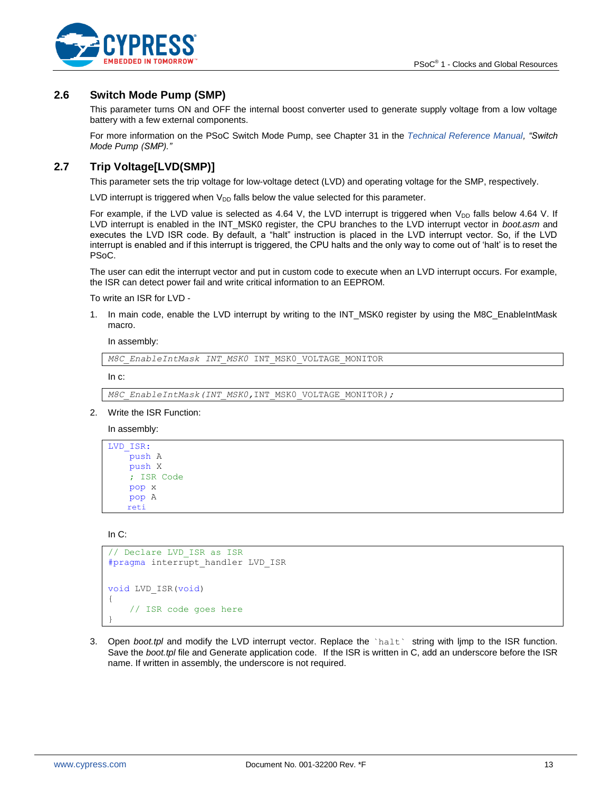

## <span id="page-12-0"></span>**2.6 Switch Mode Pump (SMP)**

This parameter turns ON and OFF the internal boost converter used to generate supply voltage from a low voltage battery with a few external components.

For more information on the PSoC Switch Mode Pump, see Chapter 31 in the *[Technical Reference Manual,](http://www.cypress.com/?rID=34621) "Switch Mode Pump (SMP)."*

## <span id="page-12-1"></span>**2.7 Trip Voltage[LVD(SMP)]**

This parameter sets the trip voltage for low-voltage detect (LVD) and operating voltage for the SMP, respectively.

LVD interrupt is triggered when  $V_{DD}$  falls below the value selected for this parameter.

For example, if the LVD value is selected as 4.64 V, the LVD interrupt is triggered when  $V_{DD}$  falls below 4.64 V. If LVD interrupt is enabled in the INT\_MSK0 register, the CPU branches to the LVD interrupt vector in *boot.asm* and executes the LVD ISR code. By default, a "halt" instruction is placed in the LVD interrupt vector. So, if the LVD interrupt is enabled and if this interrupt is triggered, the CPU halts and the only way to come out of 'halt' is to reset the PSoC.

The user can edit the interrupt vector and put in custom code to execute when an LVD interrupt occurs. For example, the ISR can detect power fail and write critical information to an EEPROM.

To write an ISR for LVD -

1. In main code, enable the LVD interrupt by writing to the INT\_MSK0 register by using the M8C\_EnableIntMask macro.

In assembly:

*M8C\_EnableIntMask INT\_MSK0* INT\_MSK0\_VOLTAGE\_MONITOR

In c:

*M8C\_EnableIntMask(INT\_MSK0,*INT\_MSK0\_VOLTAGE\_MONITOR*);*

2. Write the ISR Function:

In assembly:

```
LVD_ISR:
     push A
     push X
     ; ISR Code
     pop x
     pop A
    reti
```
In C:

```
// Declare LVD_ISR as ISR
#pragma interrupt_handler LVD_ISR
void LVD_ISR(void)
{
     // ISR code goes here
}
```
3. Open *boot.tpl* and modify the LVD interrupt vector. Replace the `halt` string with ljmp to the ISR function. Save the *boot.tpl* file and Generate application code. If the ISR is written in C, add an underscore before the ISR name. If written in assembly, the underscore is not required.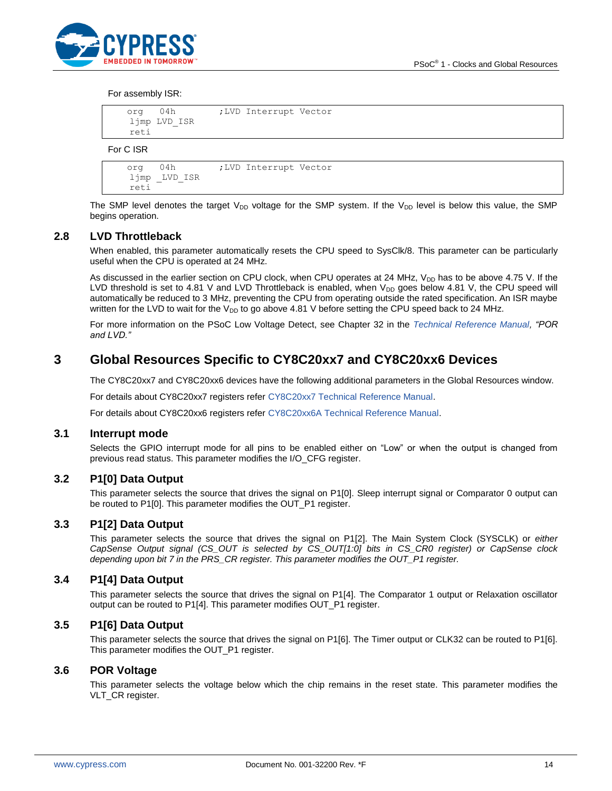

#### For assembly ISR:

| 04h<br>org   | ;LVD Interrupt Vector |  |
|--------------|-----------------------|--|
| ljmp LVD_ISR |                       |  |
| reti         |                       |  |
|              |                       |  |

For C ISR

```
 org 04h ;LVD Interrupt Vector
 ljmp _LVD_ISR
 reti
```
The SMP level denotes the target  $V_{DD}$  voltage for the SMP system. If the  $V_{DD}$  level is below this value, the SMP begins operation.

#### <span id="page-13-0"></span>**2.8 LVD Throttleback**

When enabled, this parameter automatically resets the CPU speed to SysClk/8. This parameter can be particularly useful when the CPU is operated at 24 MHz.

As discussed in the earlier section on CPU clock, when CPU operates at 24 MHz,  $V_{DD}$  has to be above 4.75 V. If the LVD threshold is set to 4.81 V and LVD Throttleback is enabled, when  $V_{DD}$  goes below 4.81 V, the CPU speed will automatically be reduced to 3 MHz, preventing the CPU from operating outside the rated specification. An ISR maybe written for the LVD to wait for the  $V_{DD}$  to go above 4.81 V before setting the CPU speed back to 24 MHz.

For more information on the PSoC Low Voltage Detect, see Chapter 32 in the *[Technical Reference Manual,](http://www.cypress.com/?rID=34621) "POR and LVD."*

## <span id="page-13-1"></span>**3 Global Resources Specific to CY8C20xx7 and CY8C20xx6 Devices**

The CY8C20xx7 and CY8C20xx6 devices have the following additional parameters in the Global Resources window.

For details about CY8C20xx7 registers refer [CY8C20xx7 Technical Reference Manual.](http://www.cypress.com/?rID=59964)

For details about CY8C20xx6 registers refer [CY8C20xx6A Technical Reference Manual.](http://www.cypress.com/?rID=34379)

#### <span id="page-13-2"></span>**3.1 Interrupt mode**

Selects the GPIO interrupt mode for all pins to be enabled either on "Low" or when the output is changed from previous read status. This parameter modifies the I/O\_CFG register.

#### <span id="page-13-3"></span>**3.2 P1[0] Data Output**

This parameter selects the source that drives the signal on P1[0]. Sleep interrupt signal or Comparator 0 output can be routed to P1[0]. This parameter modifies the OUT\_P1 register.

#### <span id="page-13-4"></span>**3.3 P1[2] Data Output**

This parameter selects the source that drives the signal on P1[2]. The Main System Clock (SYSCLK) or *either CapSense Output signal (CS\_OUT is selected by CS\_OUT[1:0] bits in CS\_CR0 register) or CapSense clock depending upon bit 7 in the PRS\_CR register. This parameter modifies the OUT\_P1 register.*

### <span id="page-13-5"></span>**3.4 P1[4] Data Output**

This parameter selects the source that drives the signal on P1[4]. The Comparator 1 output or Relaxation oscillator output can be routed to P1[4]. This parameter modifies OUT\_P1 register.

#### <span id="page-13-6"></span>**3.5 P1[6] Data Output**

This parameter selects the source that drives the signal on P1[6]. The Timer output or CLK32 can be routed to P1[6]. This parameter modifies the OUT\_P1 register.

### <span id="page-13-7"></span>**3.6 POR Voltage**

This parameter selects the voltage below which the chip remains in the reset state. This parameter modifies the VLT CR register.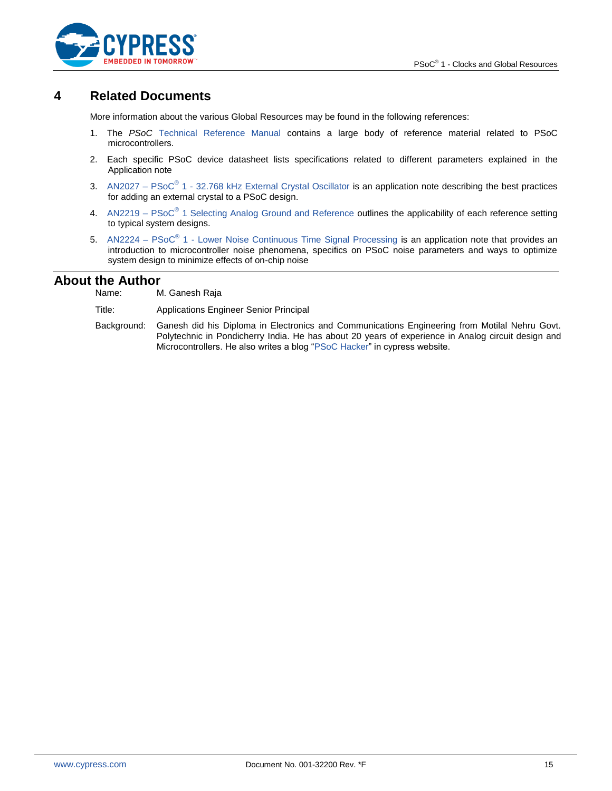

## <span id="page-14-0"></span>**4 Related Documents**

More information about the various Global Resources may be found in the following references:

- 1. The *PSoC* [Technical Reference Manual](http://www.cypress.com/?rID=34621) contains a large body of reference material related to PSoC microcontrollers.
- 2. Each specific PSoC device datasheet lists specifications related to different parameters explained in the Application note
- 3. AN2027 PSoC<sup>®</sup> 1 [32.768 kHz External Crystal Oscillator](http://www.cypress.com/?rID=2844) is an application note describing the best practices for adding an external crystal to a PSoC design.
- 4. AN2219 PSoC<sup>®</sup> [1 Selecting Analog Ground and Reference](http://www.cypress.com/?rID=2779) outlines the applicability of each reference setting to typical system designs.
- 5. AN2224 PSoC<sup>®</sup> 1 [Lower Noise Continuous Time Signal Processing](http://www.cypress.com/design/AN2224) is an application note that provides an introduction to microcontroller noise phenomena, specifics on PSoC noise parameters and ways to optimize system design to minimize effects of on-chip noise

## **About the Author**

Name: M. Ganesh Raja

Title: Applications Engineer Senior Principal

Background: Ganesh did his Diploma in Electronics and Communications Engineering from Motilal Nehru Govt. Polytechnic in Pondicherry India. He has about 20 years of experience in Analog circuit design and Microcontrollers. He also writes a blog ["PSoC Hacker"](http://www.cypress.com/go/psochacker) in cypress website.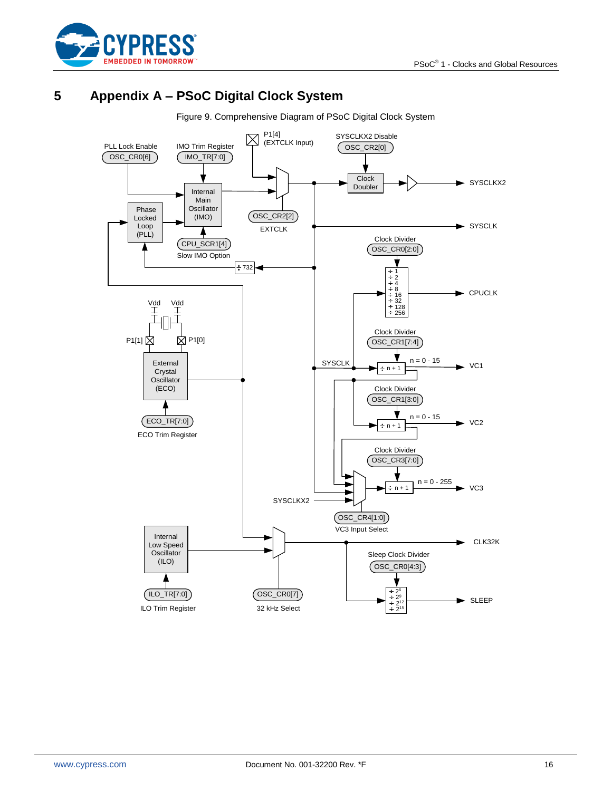

# <span id="page-15-0"></span>**5 Appendix A – PSoC Digital Clock System**

Figure 9. Comprehensive Diagram of PSoC Digital Clock System

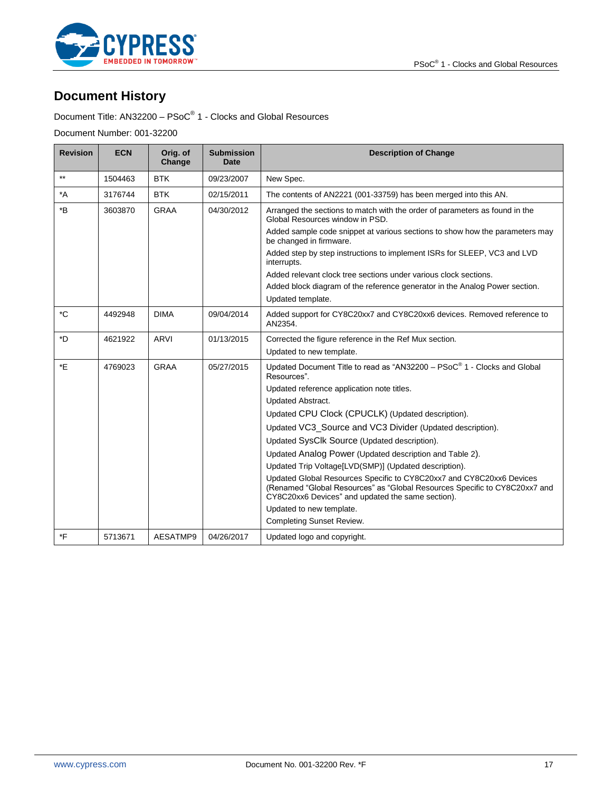

# **Document History**

Document Title: AN32200 – PSoC® 1 - Clocks and Global Resources

Document Number: 001-32200

| <b>Revision</b>  | <b>ECN</b> | Orig. of<br>Change | <b>Submission</b><br>Date | <b>Description of Change</b>                                                                                                                                                                            |
|------------------|------------|--------------------|---------------------------|---------------------------------------------------------------------------------------------------------------------------------------------------------------------------------------------------------|
| $**$             | 1504463    | <b>BTK</b>         | 09/23/2007                | New Spec.                                                                                                                                                                                               |
| $^*A$            | 3176744    | <b>BTK</b>         | 02/15/2011                | The contents of AN2221 (001-33759) has been merged into this AN.                                                                                                                                        |
| $*_{\mathsf{B}}$ | 3603870    | <b>GRAA</b>        | 04/30/2012                | Arranged the sections to match with the order of parameters as found in the<br>Global Resources window in PSD.                                                                                          |
|                  |            |                    |                           | Added sample code snippet at various sections to show how the parameters may<br>be changed in firmware.                                                                                                 |
|                  |            |                    |                           | Added step by step instructions to implement ISRs for SLEEP, VC3 and LVD<br>interrupts.                                                                                                                 |
|                  |            |                    |                           | Added relevant clock tree sections under various clock sections.                                                                                                                                        |
|                  |            |                    |                           | Added block diagram of the reference generator in the Analog Power section.<br>Updated template.                                                                                                        |
|                  |            |                    |                           |                                                                                                                                                                                                         |
| $^{\ast}$ C      | 4492948    | <b>DIMA</b>        | 09/04/2014                | Added support for CY8C20xx7 and CY8C20xx6 devices. Removed reference to<br>AN2354.                                                                                                                      |
| *D               | 4621922    | <b>ARVI</b>        | 01/13/2015                | Corrected the figure reference in the Ref Mux section.                                                                                                                                                  |
|                  |            |                    |                           | Updated to new template.                                                                                                                                                                                |
| *E               | 4769023    | <b>GRAA</b>        | 05/27/2015                | Updated Document Title to read as "AN32200 - PSoC® 1 - Clocks and Global<br>Resources".                                                                                                                 |
|                  |            |                    |                           | Updated reference application note titles.                                                                                                                                                              |
|                  |            |                    |                           | Updated Abstract.                                                                                                                                                                                       |
|                  |            |                    |                           | Updated CPU Clock (CPUCLK) (Updated description).                                                                                                                                                       |
|                  |            |                    |                           | Updated VC3_Source and VC3 Divider (Updated description).                                                                                                                                               |
|                  |            |                    |                           | Updated SysClk Source (Updated description).                                                                                                                                                            |
|                  |            |                    |                           | Updated Analog Power (Updated description and Table 2).                                                                                                                                                 |
|                  |            |                    |                           | Updated Trip Voltage[LVD(SMP)] (Updated description).                                                                                                                                                   |
|                  |            |                    |                           | Updated Global Resources Specific to CY8C20xx7 and CY8C20xx6 Devices<br>(Renamed "Global Resources" as "Global Resources Specific to CY8C20xx7 and<br>CY8C20xx6 Devices" and updated the same section). |
|                  |            |                    |                           | Updated to new template.                                                                                                                                                                                |
|                  |            |                    |                           | <b>Completing Sunset Review.</b>                                                                                                                                                                        |
| *F               | 5713671    | AESATMP9           | 04/26/2017                | Updated logo and copyright.                                                                                                                                                                             |